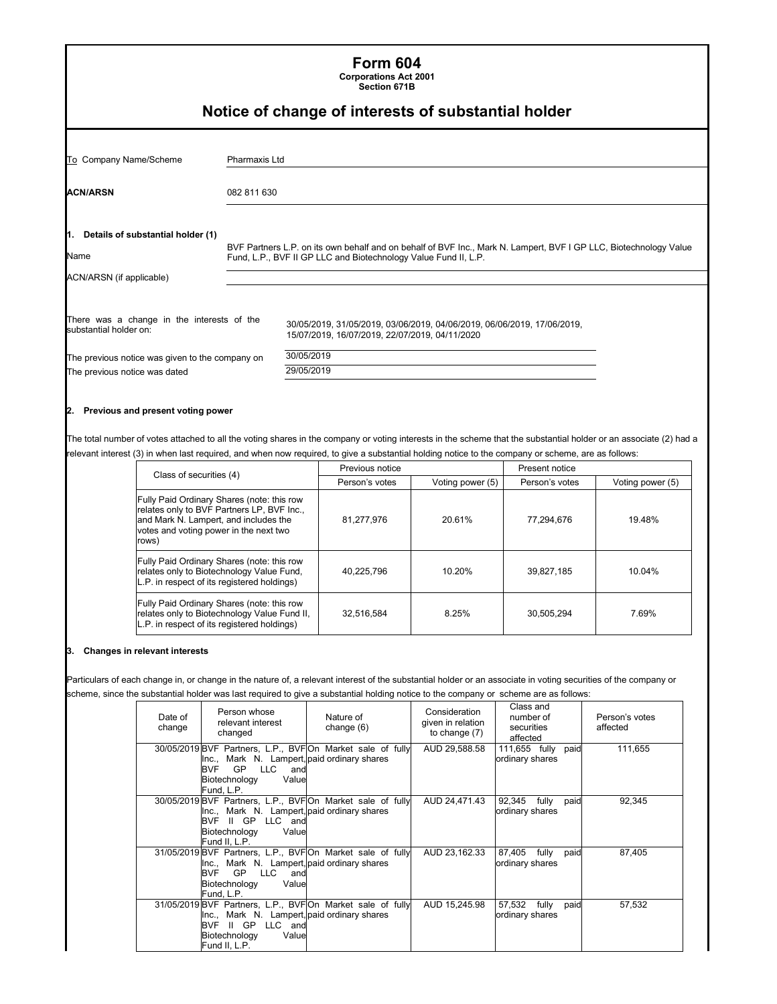| <b>Form 604</b><br><b>Corporations Act 2001</b><br>Section 671B<br>Notice of change of interests of substantial holder |               |                                                                                                                                                                                      |  |  |  |  |
|------------------------------------------------------------------------------------------------------------------------|---------------|--------------------------------------------------------------------------------------------------------------------------------------------------------------------------------------|--|--|--|--|
| To Company Name/Scheme                                                                                                 | Pharmaxis Ltd |                                                                                                                                                                                      |  |  |  |  |
| <b>ACN/ARSN</b><br>082 811 630                                                                                         |               |                                                                                                                                                                                      |  |  |  |  |
| 1. Details of substantial holder (1)<br>Name                                                                           |               | BVF Partners L.P. on its own behalf and on behalf of BVF Inc., Mark N. Lampert, BVF I GP LLC, Biotechnology Value<br>Fund, L.P., BVF II GP LLC and Biotechnology Value Fund II, L.P. |  |  |  |  |
| ACN/ARSN (if applicable)                                                                                               |               |                                                                                                                                                                                      |  |  |  |  |
| There was a change in the interests of the<br>substantial holder on:                                                   |               | 30/05/2019, 31/05/2019, 03/06/2019, 04/06/2019, 06/06/2019, 17/06/2019,<br>15/07/2019, 16/07/2019, 22/07/2019, 04/11/2020                                                            |  |  |  |  |
| The previous notice was given to the company on<br>The previous notice was dated                                       |               | 30/05/2019<br>29/05/2019                                                                                                                                                             |  |  |  |  |

#### **2. Previous and present voting power**

The total number of votes attached to all the voting shares in the company or voting interests in the scheme that the substantial holder or an associate (2) had a relevant interest (3) in when last required, and when now required, to give a substantial holding notice to the company or scheme, are as follows:

| Class of securities (4)                                                                                                                                                              | Previous notice |                  | Present notice |                  |  |
|--------------------------------------------------------------------------------------------------------------------------------------------------------------------------------------|-----------------|------------------|----------------|------------------|--|
|                                                                                                                                                                                      | Person's votes  | Voting power (5) | Person's votes | Voting power (5) |  |
| Fully Paid Ordinary Shares (note: this row<br>relates only to BVF Partners LP, BVF Inc.,<br>and Mark N. Lampert, and includes the<br>votes and voting power in the next two<br>rows) | 81.277.976      | 20.61%           | 77,294,676     | 19.48%           |  |
| Fully Paid Ordinary Shares (note: this row<br>relates only to Biotechnology Value Fund,<br>L.P. in respect of its registered holdings)                                               | 40.225.796      | 10.20%           | 39.827.185     | 10.04%           |  |
| Fully Paid Ordinary Shares (note: this row<br>relates only to Biotechnology Value Fund II,<br>L.P. in respect of its registered holdings)                                            | 32,516,584      | 8.25%            | 30,505,294     | 7.69%            |  |

#### **3. Changes in relevant interests**

Particulars of each change in, or change in the nature of, a relevant interest of the substantial holder or an associate in voting securities of the company or scheme, since the substantial holder was last required to give a substantial holding notice to the company or scheme are as follows:

| Date of<br>change | Person whose<br>relevant interest<br>changed                                                                                                                                        | Nature of<br>change $(6)$ | Consideration<br>given in relation<br>to change $(7)$ | Class and<br>number of<br>securities<br>affected | Person's votes<br>affected |
|-------------------|-------------------------------------------------------------------------------------------------------------------------------------------------------------------------------------|---------------------------|-------------------------------------------------------|--------------------------------------------------|----------------------------|
|                   | 30/05/2019 BVF Partners, L.P., BVFOn Market sale of fully<br>Inc., Mark N. Lampert, paid ordinary shares<br>GP.<br><b>LLC</b><br>BVF<br>and<br>Biotechnology<br>Value<br>Fund. L.P. |                           | AUD 29,588.58                                         | 111,655 fully paid<br>ordinary shares            | 111.655                    |
|                   | 30/05/2019 BVF Partners, L.P., BVFOn Market sale of fully<br>Inc., Mark N. Lampert, paid ordinary shares<br>BVF II GP LLC and<br>Value<br>Biotechnology<br>Fund II. L.P.            |                           | AUD 24,471.43                                         | 92,345 fully<br>paid<br>ordinary shares          | 92.345                     |
|                   | 31/05/2019 BVF Partners, L.P., BVFOn Market sale of fully<br>Inc., Mark N. Lampert, paid ordinary shares<br>LLC<br>GP<br>BVF<br>and<br>Biotechnology<br>Value<br>Fund, L.P.         |                           | AUD 23,162.33                                         | 87,405<br>fully<br>paid<br>ordinary shares       | 87,405                     |
|                   | 31/05/2019 BVF Partners, L.P., BVFOn Market sale of fully<br>Inc., Mark N. Lampert, paid ordinary shares<br>BVF II GP LLC and<br>Value<br>Biotechnology<br>Fund II, L.P.            |                           | AUD 15,245.98                                         | 57,532<br>fully<br>paid<br>ordinary shares       | 57,532                     |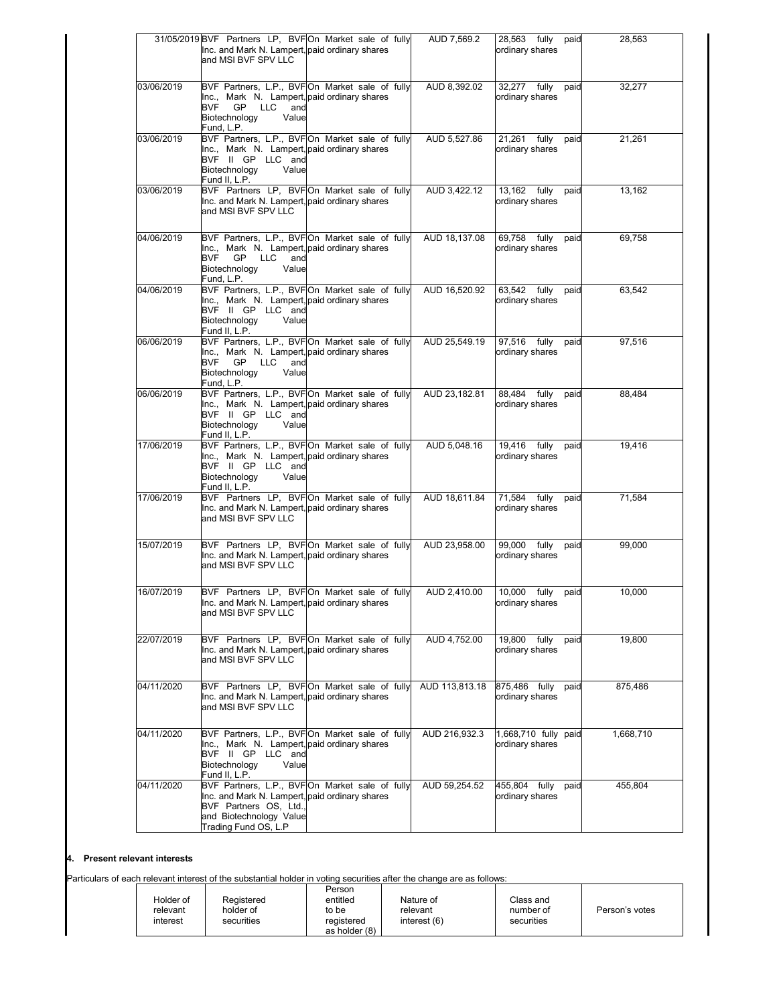|            | 31/05/2019 BVF Partners LP, BVFOn Market sale of fully                                                      |  | AUD 7,569.2    | 28,563 fully                         | paid | 28,563    |
|------------|-------------------------------------------------------------------------------------------------------------|--|----------------|--------------------------------------|------|-----------|
|            | Inc. and Mark N. Lampert, paid ordinary shares<br>and MSI BVF SPV LLC                                       |  |                | ordinary shares                      |      |           |
| 03/06/2019 | BVF Partners, L.P., BVFOn Market sale of fully                                                              |  | AUD 8,392.02   | 32,277 fully paid                    |      | 32,277    |
|            | Inc., Mark N. Lampert, paid ordinary shares                                                                 |  |                | ordinary shares                      |      |           |
|            | BVF GP LLC<br>and<br>Biotechnology<br>Value<br>Fund, L.P.                                                   |  |                |                                      |      |           |
| 03/06/2019 | BVF Partners, L.P., BVFOn Market sale of fully                                                              |  | AUD 5,527.86   | 21,261 fully                         | paid | 21,261    |
|            | Inc., Mark N. Lampert, paid ordinary shares<br>BVF II GP LLC and<br>Value<br>Biotechnology<br>Fund II, L.P. |  |                | ordinary shares                      |      |           |
| 03/06/2019 | BVF Partners LP, BVFOn Market sale of fully                                                                 |  | AUD 3,422.12   | 13,162 fully                         | paid | 13,162    |
|            | Inc. and Mark N. Lampert, paid ordinary shares<br>and MSI BVF SPV LLC                                       |  |                | ordinary shares                      |      |           |
| 04/06/2019 | BVF Partners, L.P., BVFOn Market sale of fully                                                              |  | AUD 18,137.08  | 69,758 fully                         | paid | 69,758    |
|            | Inc., Mark N. Lampert, paid ordinary shares<br><b>GP</b><br>BVF<br>LLC<br>and<br>Biotechnology<br>Value     |  |                | ordinary shares                      |      |           |
| 04/06/2019 | Fund, L.P.<br>BVF Partners, L.P., BVFOn Market sale of fully                                                |  | AUD 16,520.92  | 63,542 fully                         | paid | 63,542    |
|            | Inc., Mark N. Lampert, paid ordinary shares                                                                 |  |                | ordinary shares                      |      |           |
|            | BVF II GP LLC and<br>Biotechnology<br>Value<br>Fund II, L.P.                                                |  |                |                                      |      |           |
| 06/06/2019 | BVF Partners, L.P., BVFOn Market sale of fully<br>Inc., Mark N. Lampert, paid ordinary shares               |  | AUD 25,549.19  | 97,516 fully<br>ordinary shares      | paid | 97,516    |
|            | GP LLC<br>BVF<br>and<br>Biotechnology<br>Value<br>Fund, L.P.                                                |  |                |                                      |      |           |
| 06/06/2019 | BVF Partners, L.P., BVFOn Market sale of fully                                                              |  | AUD 23,182.81  | 88,484 fully paid                    |      | 88,484    |
|            | Inc., Mark N. Lampert, paid ordinary shares<br>BVF II GP LLC and                                            |  |                | ordinary shares                      |      |           |
|            | Biotechnology<br>Value                                                                                      |  |                |                                      |      |           |
| 17/06/2019 | Fund II, L.P.<br>BVF Partners, L.P., BVFOn Market sale of fully                                             |  | AUD 5,048.16   | 19,416 fully                         | paid | 19,416    |
|            | Inc., Mark N. Lampert, paid ordinary shares<br>BVF II GP LLC and                                            |  |                | ordinary shares                      |      |           |
|            | Biotechnology<br>Value<br>Fund II, L.P.                                                                     |  |                |                                      |      |           |
| 17/06/2019 | BVF Partners LP, BVFOn Market sale of fully<br>Inc. and Mark N. Lampert, paid ordinary shares               |  | AUD 18,611.84  | 71,584 fully paid<br>ordinary shares |      | 71,584    |
|            | and MSI BVF SPV LLC                                                                                         |  |                |                                      |      |           |
| 15/07/2019 | BVF Partners LP, BVFOn Market sale of fully<br>Inc. and Mark N. Lampert, paid ordinary shares               |  | AUD 23,958.00  | 99,000 fully                         | paid | 99.000    |
|            | and MSI BVF SPV LLC                                                                                         |  |                | ordinary shares                      |      |           |
| 16/07/2019 | BVF Partners LP, BVFOn Market sale of fully                                                                 |  | AUD 2.410.00   | 10,000 fully                         | paid | 10,000    |
|            | Inc. and Mark N. Lampert, paid ordinary shares<br>and MSI BVF SPV LLC                                       |  |                | ordinary shares                      |      |           |
| 22/07/2019 | BVF Partners LP, BVFOn Market sale of fully                                                                 |  | AUD 4,752.00   | 19,800 fully                         | paid | 19,800    |
|            | Inc. and Mark N. Lampert, paid ordinary shares<br>and MSI BVF SPV LLC                                       |  |                | ordinary shares                      |      |           |
| 04/11/2020 | BVF Partners LP, BVFOn Market sale of fully                                                                 |  | AUD 113,813.18 | 875,486 fully                        | paid | 875,486   |
|            | Inc. and Mark N. Lampert, paid ordinary shares<br>and MSI BVF SPV LLC                                       |  |                | ordinary shares                      |      |           |
| 04/11/2020 | BVF Partners, L.P., BVFOn Market sale of fully                                                              |  | AUD 216,932.3  | 1,668,710 fully paid                 |      | 1,668,710 |
|            | Inc., Mark N. Lampert, paid ordinary shares                                                                 |  |                | ordinary shares                      |      |           |
|            | BVF II GP LLC and<br>Biotechnology<br>Value<br>Fund II, L.P.                                                |  |                |                                      |      |           |
| 04/11/2020 | BVF Partners, L.P., BVFOn Market sale of fully<br>Inc. and Mark N. Lampert, paid ordinary shares            |  | AUD 59,254.52  | 455,804 fully<br>ordinary shares     | paid | 455,804   |
|            | BVF Partners OS, Ltd.,                                                                                      |  |                |                                      |      |           |
|            | and Biotechnology Value<br>Trading Fund OS, L.P                                                             |  |                |                                      |      |           |
|            |                                                                                                             |  |                |                                      |      |           |

## **4. Present relevant interests**

Particulars of each relevant interest of the substantial holder in voting securities after the change are as follows:

| Holder of<br>relevant<br>interest | Reaistered<br>holder of<br>securities | Person<br>entitled<br>to be<br>reaistered | Nature of<br>relevant<br>interest (6) | Class and<br>number of<br>securities | Person's votes |
|-----------------------------------|---------------------------------------|-------------------------------------------|---------------------------------------|--------------------------------------|----------------|
|                                   |                                       | as holder (8)                             |                                       |                                      |                |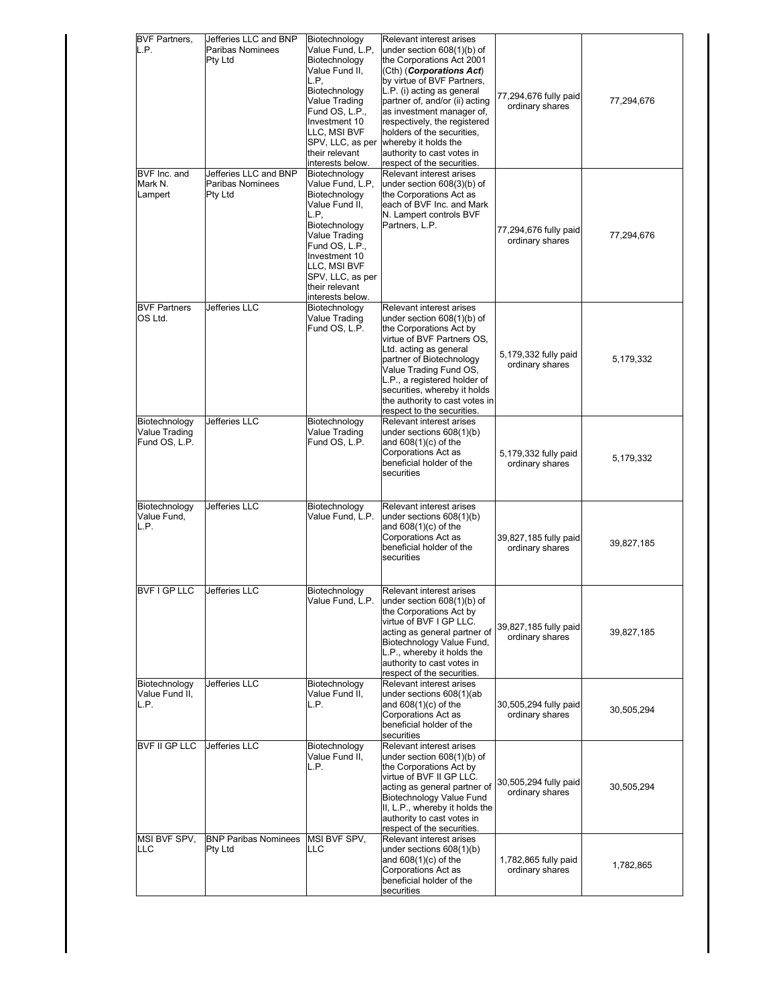| <b>BVF Partners.</b>                            | Jefferies LLC and BNP                                              | Biotechnology                                                                                                                                                                                                               | Relevant interest arises                                                                                                                                                                                                                                                                                                                                         |                                          |            |
|-------------------------------------------------|--------------------------------------------------------------------|-----------------------------------------------------------------------------------------------------------------------------------------------------------------------------------------------------------------------------|------------------------------------------------------------------------------------------------------------------------------------------------------------------------------------------------------------------------------------------------------------------------------------------------------------------------------------------------------------------|------------------------------------------|------------|
| L.P.                                            | <b>Paribas Nominees</b><br><b>Pty Ltd</b>                          | Value Fund, L.P,<br>Biotechnology<br>Value Fund II,<br>L.P,<br>Biotechnology<br>Value Trading<br>Fund OS, L.P.,<br>Investment 10<br>LLC, MSI BVF<br>SPV, LLC, as per<br>their relevant<br>interests below.                  | under section 608(1)(b) of<br>the Corporations Act 2001<br>(Cth) (Corporations Act)<br>by virtue of BVF Partners,<br>L.P. (i) acting as general<br>partner of, and/or (ii) acting<br>as investment manager of,<br>respectively, the registered<br>holders of the securities,<br>whereby it holds the<br>authority to cast votes in<br>respect of the securities. | 77,294,676 fully paid<br>ordinary shares | 77,294,676 |
| BVF Inc. and<br>Mark N.<br>Lampert              | Jefferies LLC and BNP<br><b>Paribas Nominees</b><br><b>Pty Ltd</b> | Biotechnology<br>Value Fund, L.P,<br>Biotechnology<br>Value Fund II,<br>L.P,<br>Biotechnology<br>Value Trading<br>Fund OS, L.P.,<br>Investment 10<br>LLC, MSI BVF<br>SPV, LLC, as per<br>their relevant<br>interests below. | Relevant interest arises<br>under section 608(3)(b) of<br>the Corporations Act as<br>each of BVF Inc. and Mark<br>N. Lampert controls BVF<br>Partners, L.P.                                                                                                                                                                                                      | 77,294,676 fully paid<br>ordinary shares | 77,294,676 |
| <b>BVF Partners</b><br>OS Ltd.                  | Jefferies LLC                                                      | Biotechnology<br>Value Trading<br>Fund OS, L.P.                                                                                                                                                                             | Relevant interest arises<br>under section $608(1)(b)$ of<br>the Corporations Act by<br>virtue of BVF Partners OS,<br>Ltd. acting as general<br>partner of Biotechnology<br>Value Trading Fund OS,<br>L.P., a registered holder of<br>securities, whereby it holds<br>the authority to cast votes in<br>respect to the securities.                                | 5,179,332 fully paid<br>ordinary shares  | 5,179,332  |
| Biotechnology<br>Value Trading<br>Fund OS, L.P. | Jefferies LLC                                                      | Biotechnology<br>Value Trading<br>Fund OS, L.P.                                                                                                                                                                             | Relevant interest arises<br>under sections $608(1)(b)$<br>and 608(1)(c) of the<br>Corporations Act as<br>beneficial holder of the<br>securities                                                                                                                                                                                                                  | 5,179,332 fully paid<br>ordinary shares  | 5,179,332  |
| Biotechnology<br>Value Fund,<br>L.P.            | Jefferies LLC                                                      | Biotechnology<br>Value Fund, L.P.                                                                                                                                                                                           | Relevant interest arises<br>under sections 608(1)(b)<br>and 608(1)(c) of the<br>Corporations Act as<br>beneficial holder of the<br>securities                                                                                                                                                                                                                    | 39,827,185 fully paid<br>ordinary shares | 39,827,185 |
| <b>BVFIGPLLC</b><br>Biotechnology               | <b>Jefferies LLC</b><br>Jefferies LLC                              | Biotechnology<br>Value Fund, L.P.<br>Biotechnology                                                                                                                                                                          | Relevant interest arises<br>under section 608(1)(b) of<br>the Corporations Act by<br>virtue of BVF I GP LLC.<br>acting as general partner of<br>Biotechnology Value Fund,<br>L.P., whereby it holds the<br>authority to cast votes in<br>respect of the securities.<br><b>Relevant interest arises</b>                                                           | 39,827,185 fully paid<br>ordinary shares | 39,827,185 |
| Value Fund II.<br>L.P.                          |                                                                    | Value Fund II,<br>L.P.                                                                                                                                                                                                      | under sections 608(1)(ab<br>and $608(1)(c)$ of the<br>Corporations Act as<br>beneficial holder of the<br>securities                                                                                                                                                                                                                                              | 30,505,294 fully paid<br>ordinary shares | 30,505,294 |
| <b>BVF II GP LLC</b>                            | <b>Jefferies LLC</b>                                               | Biotechnology<br>Value Fund II,<br>L.P.                                                                                                                                                                                     | Relevant interest arises<br>under section 608(1)(b) of<br>the Corporations Act by<br>virtue of BVF II GP LLC.<br>acting as general partner of<br>Biotechnology Value Fund<br>II, L.P., whereby it holds the<br>authority to cast votes in<br>respect of the securities.                                                                                          | 30,505,294 fully paid<br>ordinary shares | 30,505,294 |
| MSI BVF SPV,<br>LLC                             | <b>BNP Paribas Nominees</b><br><b>Pty Ltd</b>                      | MSI BVF SPV,<br>LLC                                                                                                                                                                                                         | Relevant interest arises<br>under sections 608(1)(b)<br>and $608(1)(c)$ of the<br>Corporations Act as<br>beneficial holder of the<br>securities                                                                                                                                                                                                                  | 1,782,865 fully paid<br>ordinary shares  | 1,782,865  |